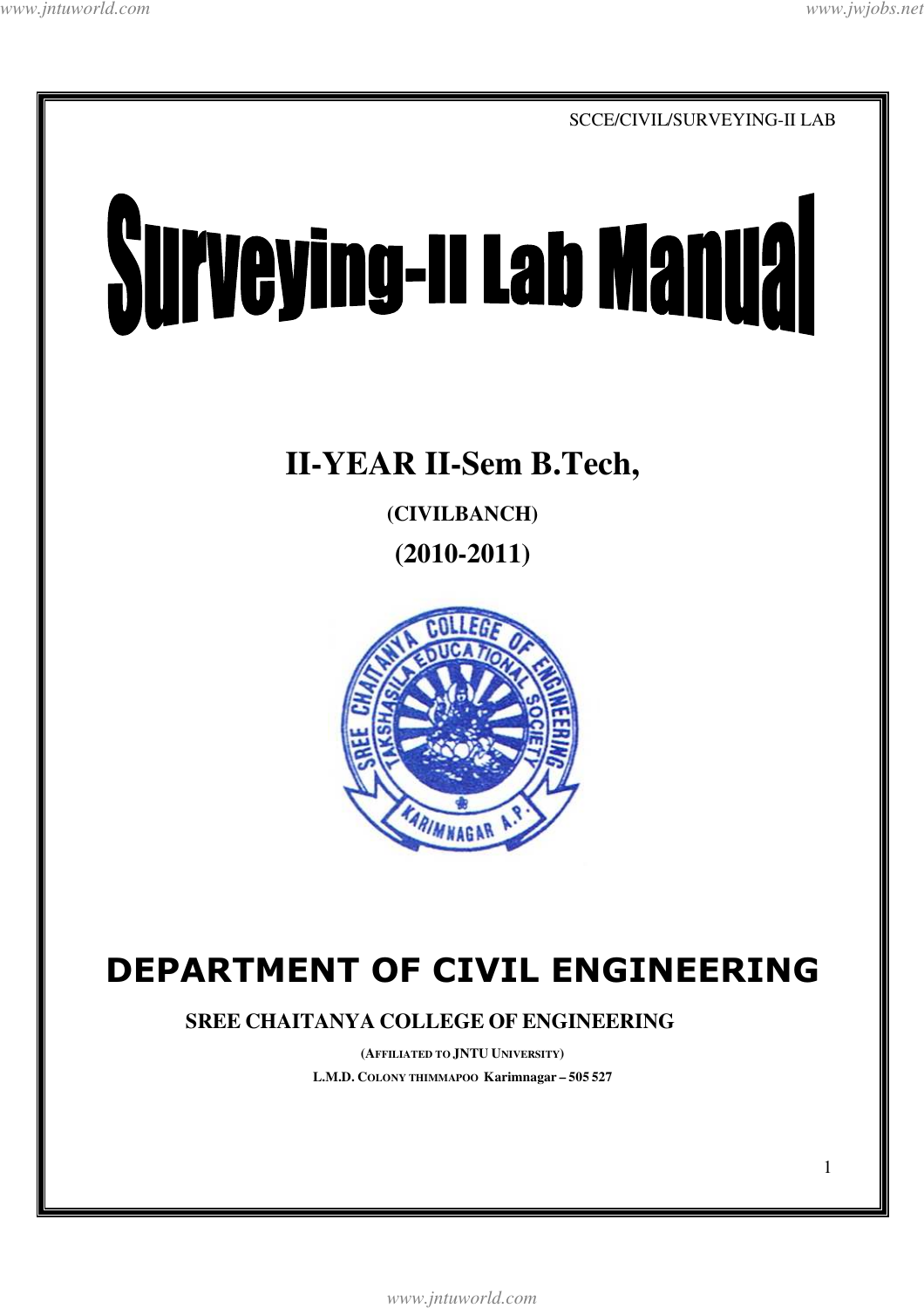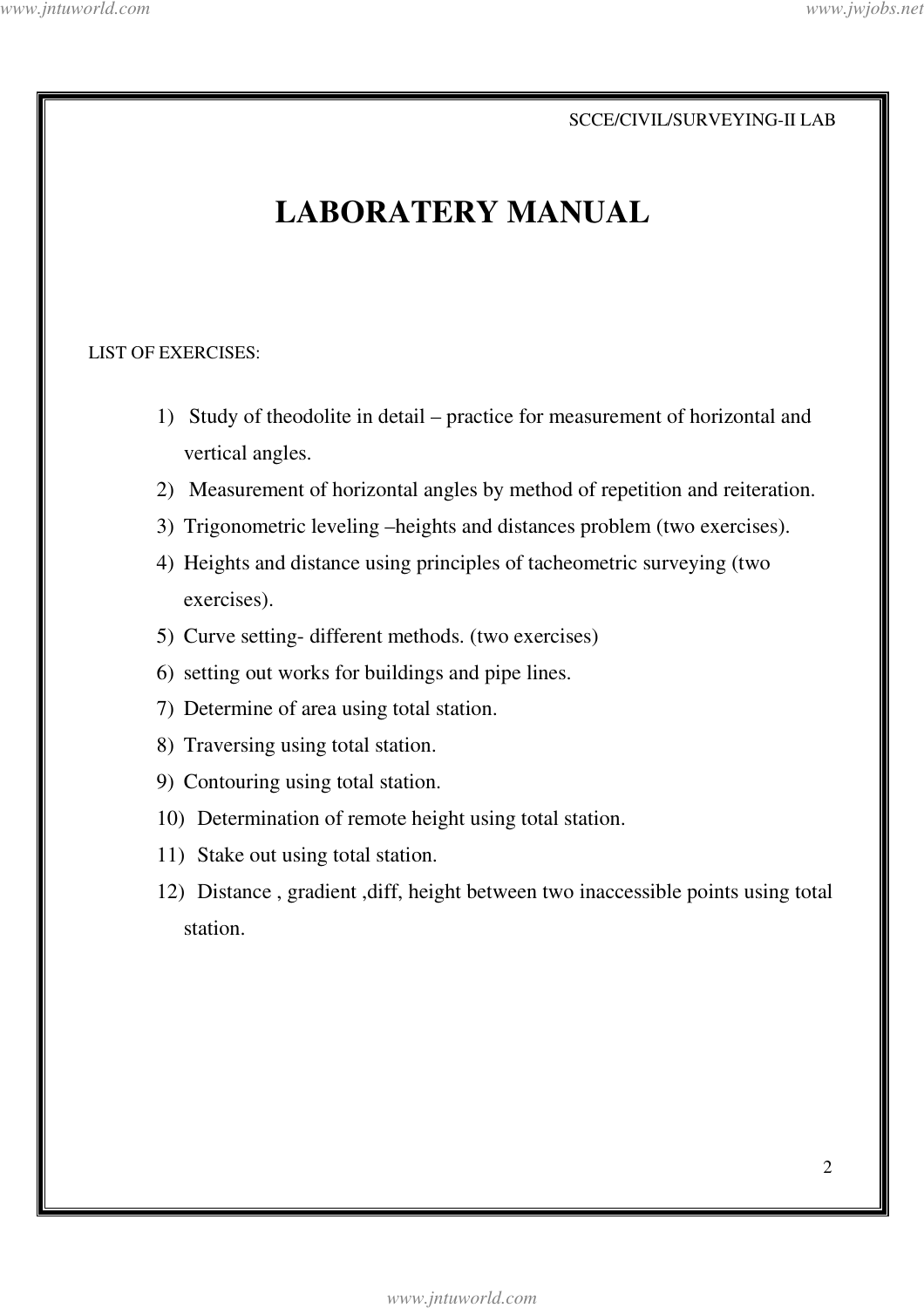# **LABORATERY MANUAL**

#### LIST OF EXERCISES:

- 1) Study of theodolite in detail practice for measurement of horizontal and vertical angles.
- 2) Measurement of horizontal angles by method of repetition and reiteration.
- 3) Trigonometric leveling –heights and distances problem (two exercises).
- 4) Heights and distance using principles of tacheometric surveying (two exercises).
- 5) Curve setting- different methods. (two exercises)
- 6) setting out works for buildings and pipe lines.
- 7) Determine of area using total station.
- 8) Traversing using total station.
- 9) Contouring using total station.
- 10) Determination of remote height using total station.
- 11) Stake out using total station.
- 12) Distance , gradient ,diff, height between two inaccessible points using total station.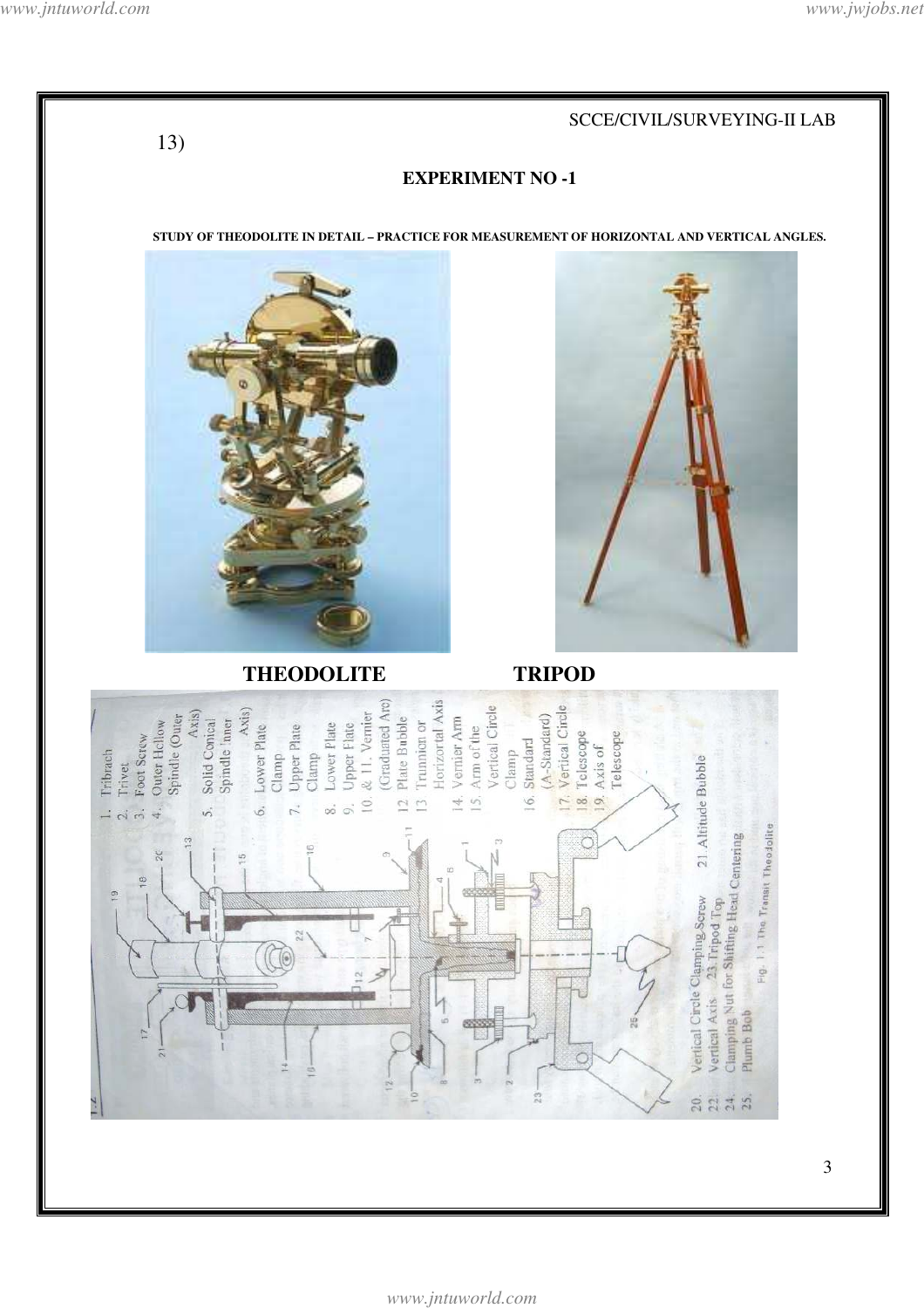$13)$ 

#### SCCE/CIVIL/SURVEYING-II LAB

#### **EXPERIMENT NO -1**

STUDY OF THEODOLITE IN DETAIL - PRACTICE FOR MEASUREMENT OF HORIZONTAL AND VERTICAL ANGLES.



**THEODOLITE** 



**TRIPOD** 

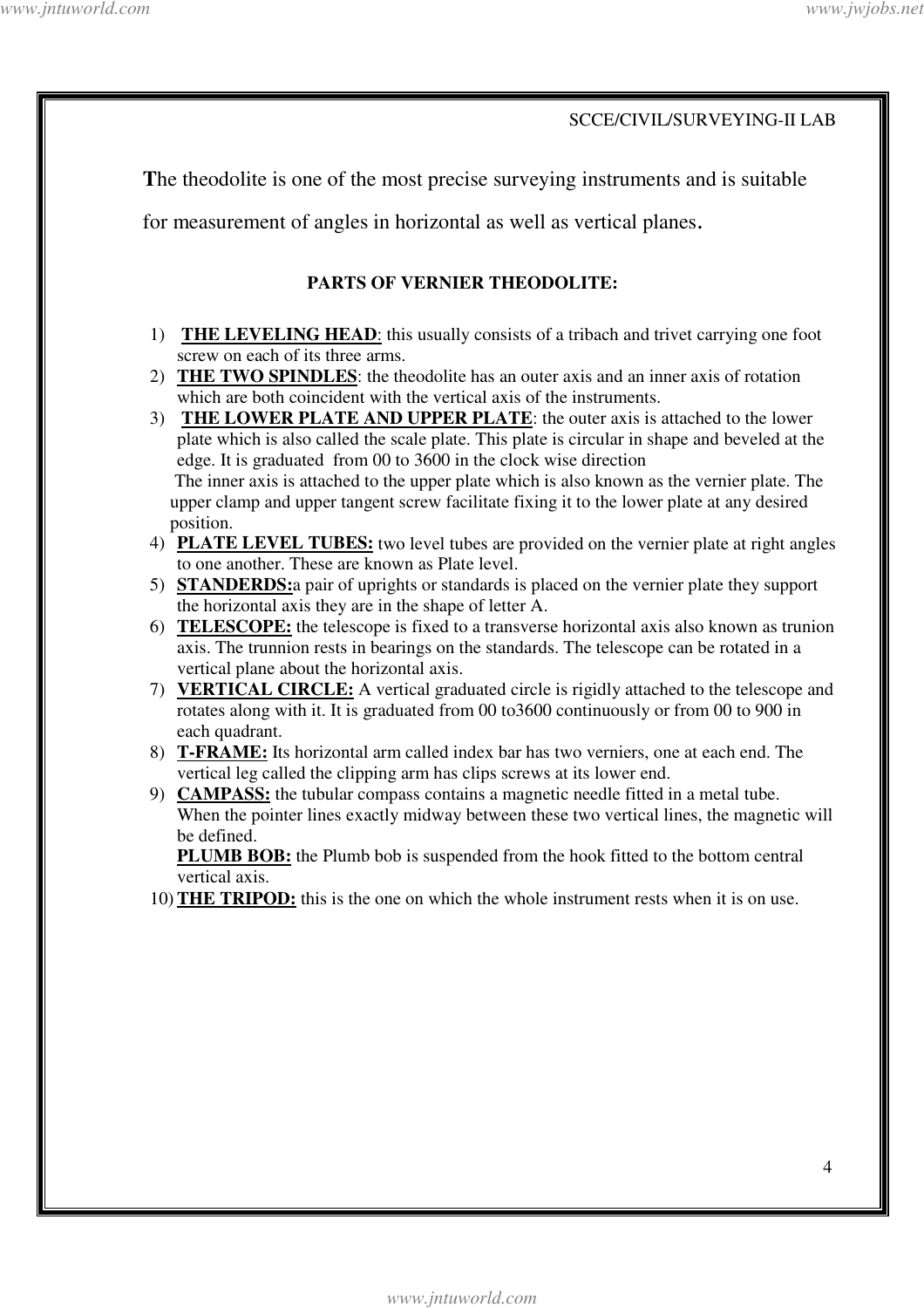**T**he theodolite is one of the most precise surveying instruments and is suitable

for measurement of angles in horizontal as well as vertical planes.

#### **PARTS OF VERNIER THEODOLITE:**

- 1) **THE LEVELING HEAD**: this usually consists of a tribach and trivet carrying one foot screw on each of its three arms.
- 2) **THE TWO SPINDLES**: the theodolite has an outer axis and an inner axis of rotation which are both coincident with the vertical axis of the instruments.

3) **THE LOWER PLATE AND UPPER PLATE**: the outer axis is attached to the lower plate which is also called the scale plate. This plate is circular in shape and beveled at the edge. It is graduated from 00 to 3600 in the clock wise direction The inner axis is attached to the upper plate which is also known as the vernier plate. The upper clamp and upper tangent screw facilitate fixing it to the lower plate at any desired position.

- 4) **PLATE LEVEL TUBES:** two level tubes are provided on the vernier plate at right angles to one another. These are known as Plate level.
- 5) **STANDERDS:**a pair of uprights or standards is placed on the vernier plate they support the horizontal axis they are in the shape of letter A.
- 6) **TELESCOPE:** the telescope is fixed to a transverse horizontal axis also known as trunion axis. The trunnion rests in bearings on the standards. The telescope can be rotated in a vertical plane about the horizontal axis.
- 7) **VERTICAL CIRCLE:** A vertical graduated circle is rigidly attached to the telescope and rotates along with it. It is graduated from 00 to3600 continuously or from 00 to 900 in each quadrant.
- 8) **T-FRAME:** Its horizontal arm called index bar has two verniers, one at each end. The vertical leg called the clipping arm has clips screws at its lower end.
- 9) **CAMPASS:** the tubular compass contains a magnetic needle fitted in a metal tube. When the pointer lines exactly midway between these two vertical lines, the magnetic will be defined.

**PLUMB BOB:** the Plumb bob is suspended from the hook fitted to the bottom central vertical axis.

10) **THE TRIPOD:** this is the one on which the whole instrument rests when it is on use.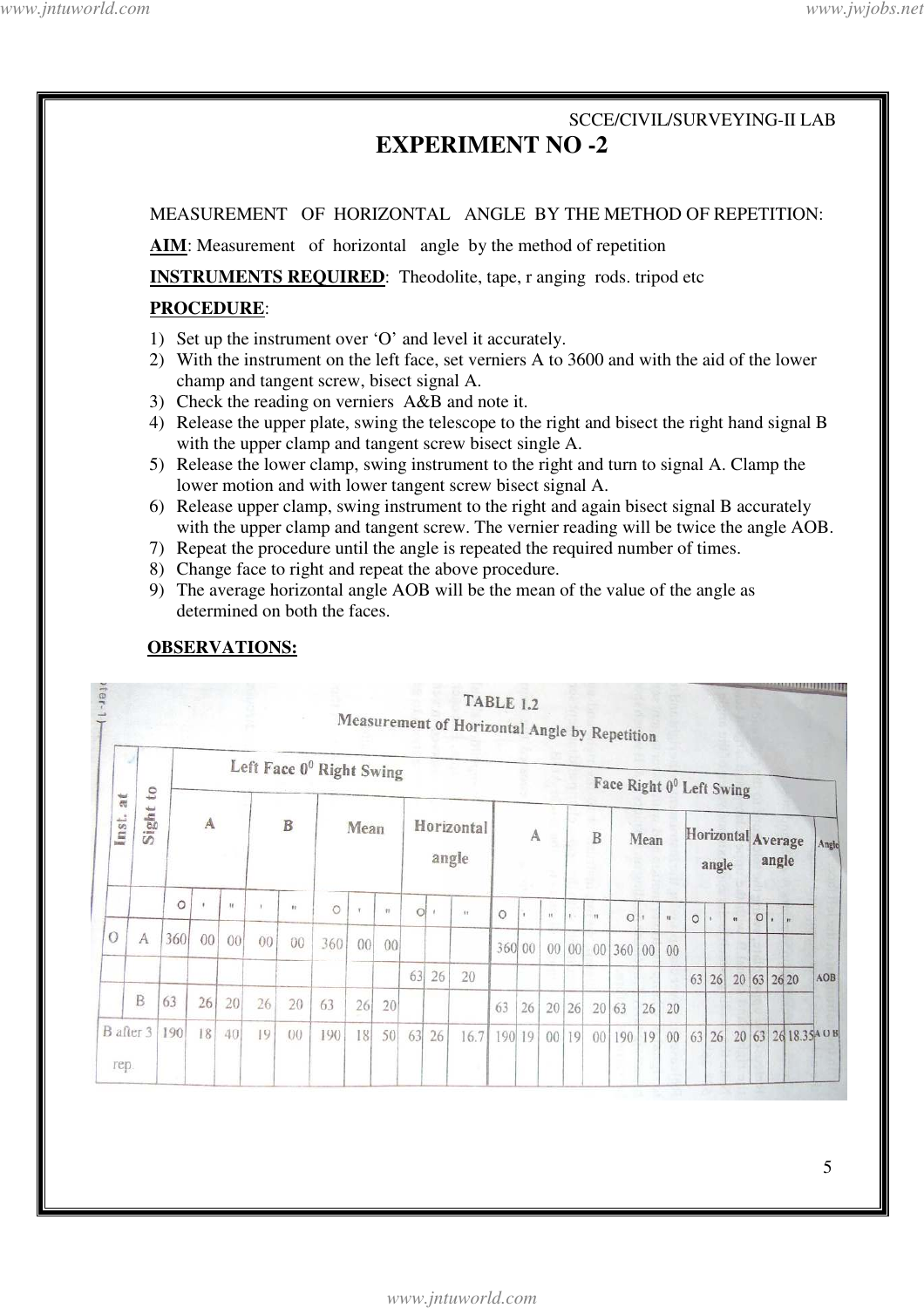# SCCE/CIVIL/SURVEYING-II LAB **EXPERIMENT NO -2**  MEASUREMENT OF HORIZONTAL ANGLE BY THE METHOD OF REPETITION: **AIM**: Measurement of horizontal angle by the method of repetition **INSTRUMENTS REQUIRED:** Theodolite, tape, r anging rods. tripod etc **PROCEDURE**: 1) Set up the instrument over 'O' and level it accurately. 2) With the instrument on the left face, set verniers A to 3600 and with the aid of the lower champ and tangent screw, bisect signal A. 3) Check the reading on verniers A&B and note it. 4) Release the upper plate, swing the telescope to the right and bisect the right hand signal B with the upper clamp and tangent screw bisect single A. 5) Release the lower clamp, swing instrument to the right and turn to signal A. Clamp the lower motion and with lower tangent screw bisect signal A. 6) Release upper clamp, swing instrument to the right and again bisect signal B accurately with the upper clamp and tangent screw. The vernier reading will be twice the angle AOB. 7) Repeat the procedure until the angle is repeated the required number of times. 8) Change face to right and repeat the above procedure. 9) The average horizontal angle AOB will be the mean of the value of the angle as determined on both the faces. **OBSERVATIONS: MAAZJ 17.13 | 17.3** Tier-**TABLE 1.2**

| $\overline{a}$<br>du <sup>1</sup><br>ms<br><b>bina</b> | to<br>Sight |              | Left Face 0 <sup>0</sup> Right Swing |                 |             |        |         |    |                 |                     |              |      |         | Face Right 0 <sup>0</sup> Left Swing |                 |                 |              |        |    |              |                             |       |              |             |       |                      |     |
|--------------------------------------------------------|-------------|--------------|--------------------------------------|-----------------|-------------|--------|---------|----|-----------------|---------------------|--------------|------|---------|--------------------------------------|-----------------|-----------------|--------------|--------|----|--------------|-----------------------------|-------|--------------|-------------|-------|----------------------|-----|
|                                                        |             | $\mathbf{A}$ |                                      |                 | $\mathbf B$ |        | Mean    |    |                 | Horizontal<br>angle |              |      | A       |                                      |                 | B<br>9          |              | Mean   |    |              | Horizontal Average<br>angle |       | angle        |             | Angle |                      |     |
|                                                        |             | $\circ$      | ٠                                    | $\mathbf{H}$    |             | $+1$   | $\circ$ |    | $\overline{11}$ | $\circ$             | $\mathbf{r}$ | 11   | $\circ$ |                                      | $\mathbf{H}$    | л.              | $\mathbf{H}$ | Ö      |    | $\mathbf{u}$ | $\circ$                     |       | $\mathbf{u}$ | $\circ$     |       |                      |     |
| $\overline{O}$                                         | А           | 360          | $00\,$                               | 00 <sup>1</sup> | 00          | $00\,$ | 360     | 00 | 00              |                     |              |      | 360 00  |                                      | 00 <sup>°</sup> | 00 <sub>1</sub> |              | 00 360 | 00 | 00           |                             |       |              |             |       |                      |     |
|                                                        |             |              |                                      |                 |             |        |         |    |                 | 63                  | 26           | 20   |         |                                      |                 |                 |              |        |    |              | 63                          | 26    |              | 20 63 26 20 |       |                      | AOB |
|                                                        | B           | 63           | 26                                   | 20              | 26          | 20     | 63      | 26 | 20              |                     |              |      | 63      | 26                                   | 20              | 26              |              | 20 63  | 26 | 20           |                             |       |              |             |       |                      |     |
| B after 3<br>rep.                                      |             | 190          | 18                                   | 40              | 19          | 00     | 190     | 18 | 50              | 63                  | 26           | 16.7 | 190 19  |                                      | 00              | 19              | 00           | 190    | 19 | 00           |                             | 63 26 |              |             |       | 20 63 26 18.35 4 0 B |     |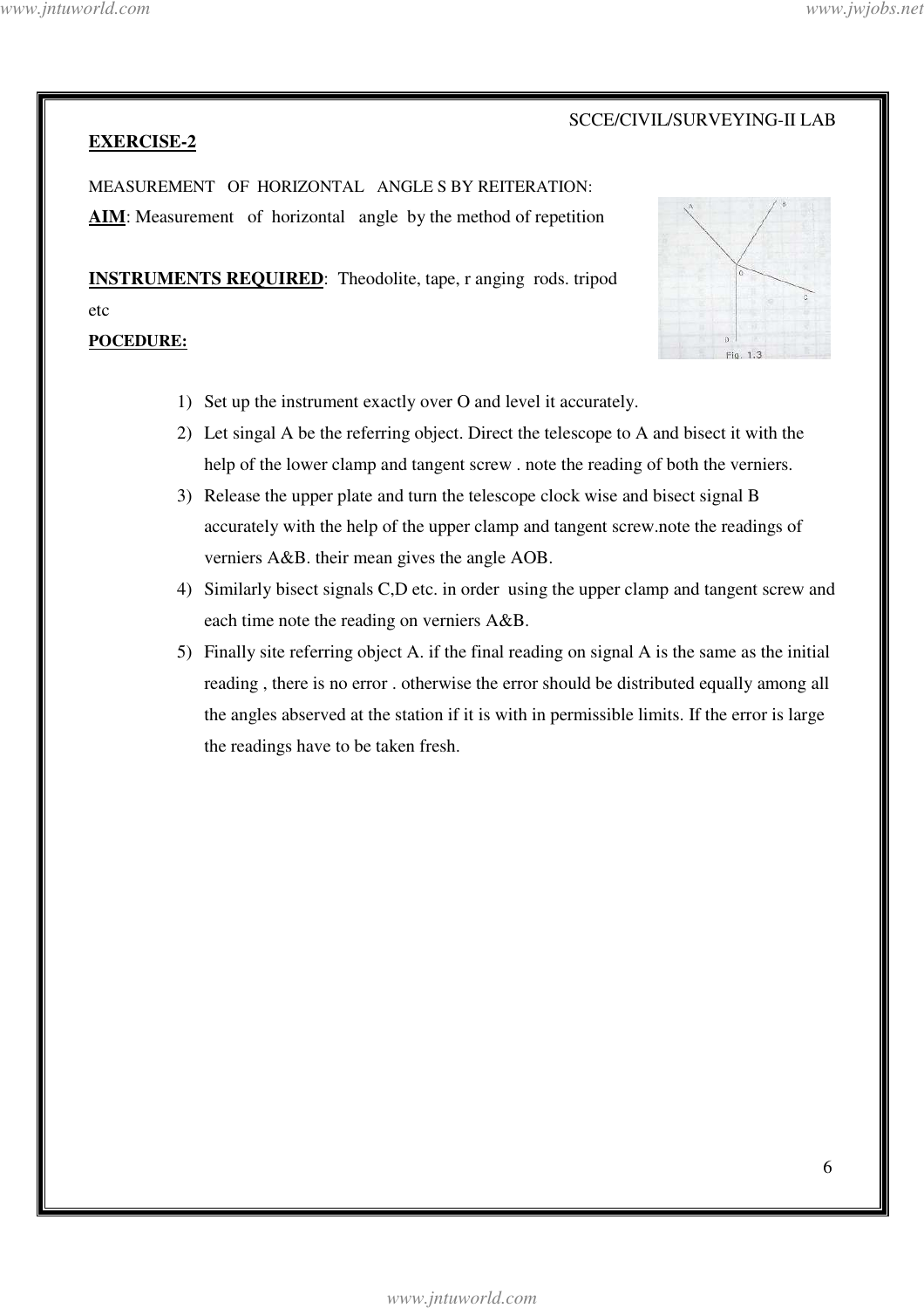**EXERCISE-2**

#### SCCE/CIVIL/SURVEYING-II LAB

MEASUREMENT OF HORIZONTAL ANGLE S BY REITERATION: AIM: Measurement of horizontal angle by the method of repetition

**INSTRUMENTS REQUIRED**: Theodolite, tape, r anging rods. tripod etc **POCEDURE:**



- 1) Set up the instrument exactly over O and level it accurately.
- 2) Let singal A be the referring object. Direct the telescope to A and bisect it with the help of the lower clamp and tangent screw . note the reading of both the verniers.
- 3) Release the upper plate and turn the telescope clock wise and bisect signal B accurately with the help of the upper clamp and tangent screw.note the readings of verniers A&B. their mean gives the angle AOB.
- 4) Similarly bisect signals C,D etc. in order using the upper clamp and tangent screw and each time note the reading on verniers A&B.
- 5) Finally site referring object A. if the final reading on signal A is the same as the initial reading , there is no error . otherwise the error should be distributed equally among all the angles abserved at the station if it is with in permissible limits. If the error is large the readings have to be taken fresh.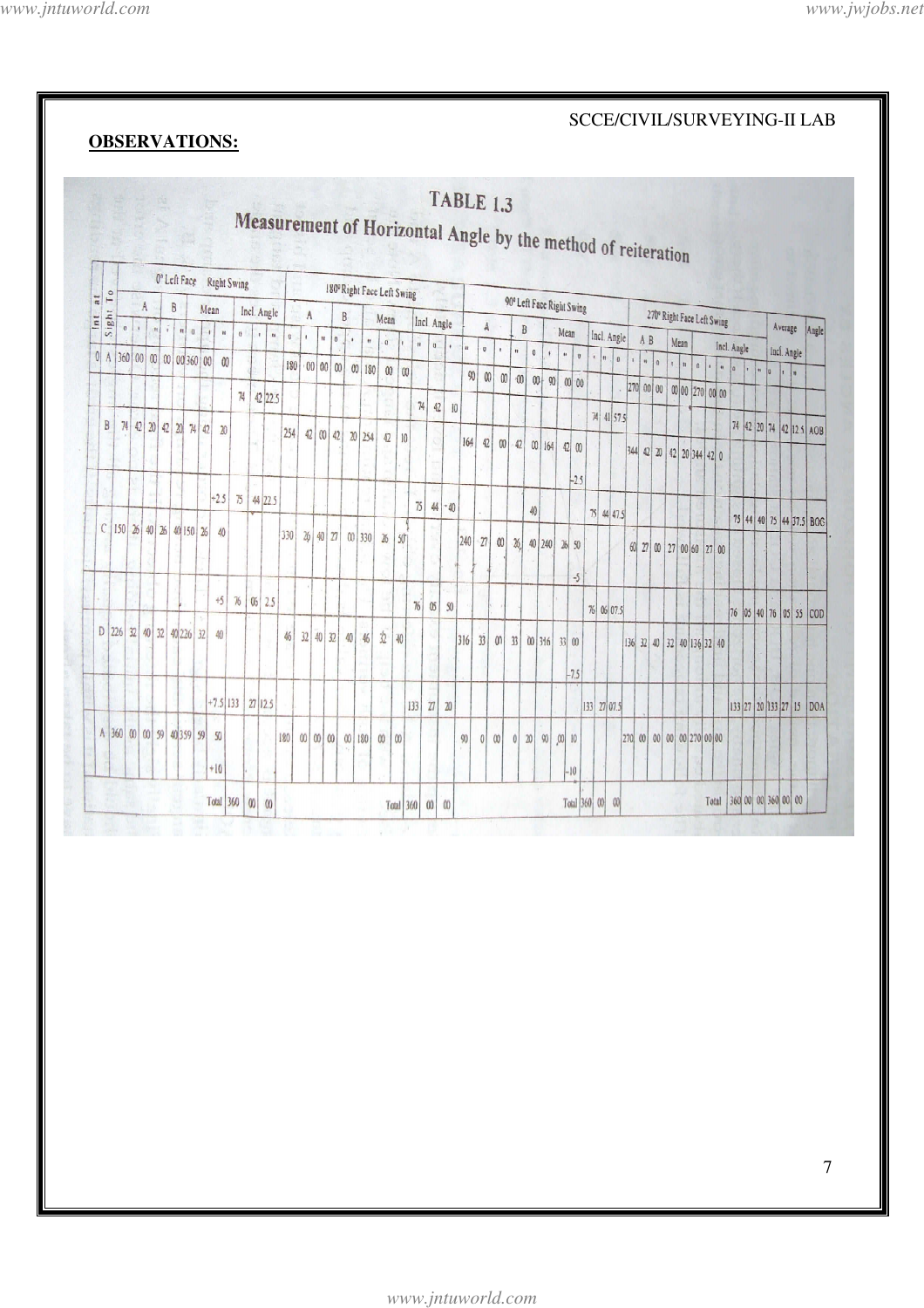**OBSERVATIONS:** 

#### SCCE/CIVIL/SURVEYING-II LAB

#### **TABLE 1.3** Measurement of Horizontal Angle by the method of reiteration 0° Left Face Right Swing 180° Right Face Left Swing  $\frac{1}{16}$ 90° Left Face Right Swing  $B$  $\Lambda$ Mean 270° Right Face Left Swing Incl. Angle  $\overline{A}$  $B$ Sight Mean Incl. Angle  $\overline{\mathbb{A}}$ Average  $\overline{B}$ Mean Incl. Angle A B  $\theta$ Angle  $0$   $1$   $0$  $\overline{ }$ .  $_{\rm n}$  $|0|$  $\begin{array}{c|c} \hline \rule{0pt}{2ex} \rule{0pt}{2ex} \end{array} \hspace{0.25cm} \begin{array}{c|c} \hline \rule{0pt}{2ex} \rule{0pt}{2ex} \end{array} \hspace{0.25cm} \begin{array}{c} \hline \rule{0pt}{2ex} \rule{0pt}{2ex} \end{array} \hspace{0.25cm} \begin{array}{c} \hline \rule{0pt}{2ex} \rule{0pt}{2ex} \end{array} \hspace{0.25cm} \begin{array}{c} \hline \rule{0pt}{2ex} \rule{0pt}{2ex} \end{array} \hspace{0.25cm} \$ 5  $\vert_u$ Mean  $\begin{array}{c|c|c|c|c} n & 0 & 1 \end{array}$ Incl. Angle  $\begin{bmatrix} 0 \end{bmatrix}$  $\overline{\phantom{a}}$ Incl. Angle  $|0|$  A 360 00 00 00 00 360 00 00 180 00 00 00 00 180 00 00  $|n|$ 270 00 00 00 270 00 00 74 42 22.5  $74$   $42$   $10$  $74 | 41 | 57.5$ B 74 42 20 42 20 74 42 20 74 42 20 74 42 12.5 AOB  $|254|$  42 00 42 20 254 42 10  $|164|$  42 00 42 00 164 42 00 344 42 20 42 20 344 42 0  $-2.5$  $+2.5$  75 44 22.5  $75 | 44 | - 40$ 40 75 44 47.5 75 44 40 75 44 37.5 BOC  $C$  150 26 40 26 40 150 26 40 330 26 40 27 00 330 26 50  $|240|$   $|27|$  00 26 40 240 26 50 60 27 00 27 00 60 27 00  $-5$  $+5$  76 06 2.5  $05 \overline{\smash{\big)}\smash{50}}$  $\%$ 76 06 07.5 76 05 40 76 05 55 COD D 226 32 40 32 40 226 32 40 46 32 40 32 40  $\overline{\Omega}$ 46  $|w|$  $316$   $33$  00 33 00 316  $33|00$ 136 32 40 32 40 136 32 40  $-7.5$  $+7.5$  133 | 27 12.5  $133$   $27$  20 133 27 07.5 133 27 20 133 27 15 DOA A 360 00 00 59 40 359 59 50 180 90 0 00 0 20 90 00 10  $|270|$  00 00 00 00 270 00 00  $00|00|00|00|180$  $\infty$  $|00|$  $+10$  $-10$ Total 360 00 00 360 00 00 Total 360  $\begin{array}{|c|c|} \hline \textbf{00} & \textbf{00} \end{array}$ Total 360 00 00 Total 360 00 00

 $\overline{7}$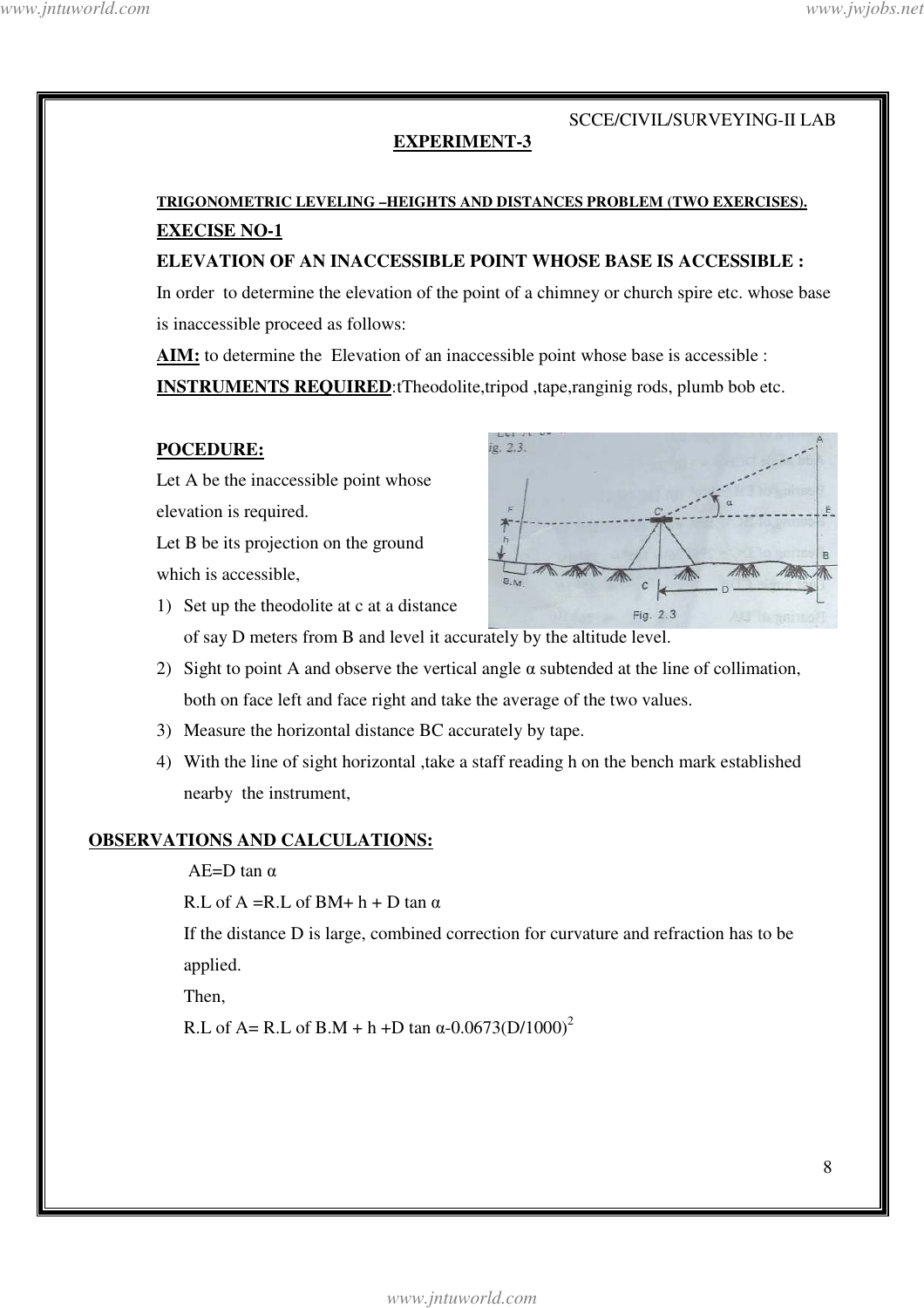#### **EXPERIMENT-3**

# **TRIGONOMETRIC LEVELING –HEIGHTS AND DISTANCES PROBLEM (TWO EXERCISES). EXECISE NO-1**

**ELEVATION OF AN INACCESSIBLE POINT WHOSE BASE IS ACCESSIBLE :** 

In order to determine the elevation of the point of a chimney or church spire etc. whose base is inaccessible proceed as follows:

**AIM:** to determine the Elevation of an inaccessible point whose base is accessible :

**INSTRUMENTS REQUIRED**:tTheodolite,tripod ,tape,ranginig rods, plumb bob etc.

#### **POCEDURE:**

Let A be the inaccessible point whose elevation is required.

Let B be its projection on the ground which is accessible,



- 1) Set up the theodolite at c at a distance of say D meters from B and level it accurately by the altitude level.
- 2) Sight to point A and observe the vertical angle  $\alpha$  subtended at the line of collimation, both on face left and face right and take the average of the two values.
- 3) Measure the horizontal distance BC accurately by tape.
- 4) With the line of sight horizontal ,take a staff reading h on the bench mark established nearby the instrument,

#### **OBSERVATIONS AND CALCULATIONS:**

#### $AE=D \tan \alpha$

R.L of A = R.L of BM + h + D tan  $\alpha$ 

If the distance D is large, combined correction for curvature and refraction has to be applied.

Then,

R.L of A= R.L of B.M + h +D tan  $\alpha$ -0.0673(D/1000)<sup>2</sup>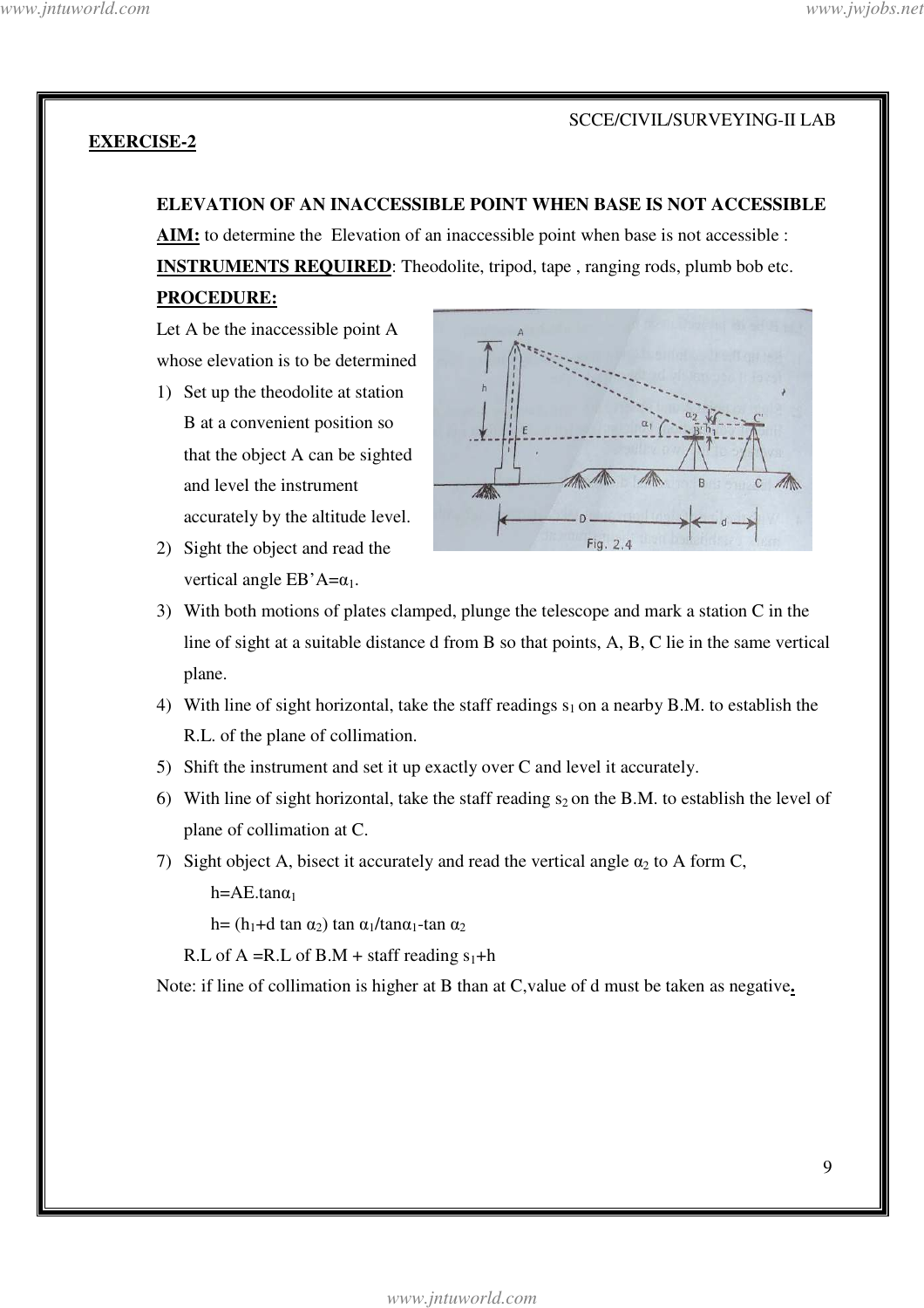#### **EXERCISE-2**

#### **ELEVATION OF AN INACCESSIBLE POINT WHEN BASE IS NOT ACCESSIBLE**

**AIM:** to determine the Elevation of an inaccessible point when base is not accessible : **INSTRUMENTS REQUIRED**: Theodolite, tripod, tape , ranging rods, plumb bob etc. **PROCEDURE:**

Let A be the inaccessible point A whose elevation is to be determined

- 1) Set up the theodolite at station B at a convenient position so that the object A can be sighted and level the instrument accurately by the altitude level.
- 2) Sight the object and read the vertical angle  $EB'A=\alpha_1$ .



- 3) With both motions of plates clamped, plunge the telescope and mark a station C in the line of sight at a suitable distance d from B so that points, A, B, C lie in the same vertical plane.
- 4) With line of sight horizontal, take the staff readings  $s_1$  on a nearby B.M. to establish the R.L. of the plane of collimation.
- 5) Shift the instrument and set it up exactly over C and level it accurately.
- 6) With line of sight horizontal, take the staff reading  $s_2$  on the B.M. to establish the level of plane of collimation at C.
- 7) Sight object A, bisect it accurately and read the vertical angle  $\alpha_2$  to A form C,

 $h=AE.tan\alpha_1$ 

h=  $(h_1+d \tan \alpha_2) \tan \alpha_1/tan\alpha_1-tan \alpha_2$ 

R.L of A = R.L of B.M + staff reading  $s_1$ +h

Note: if line of collimation is higher at B than at C,value of d must be taken as negative**.**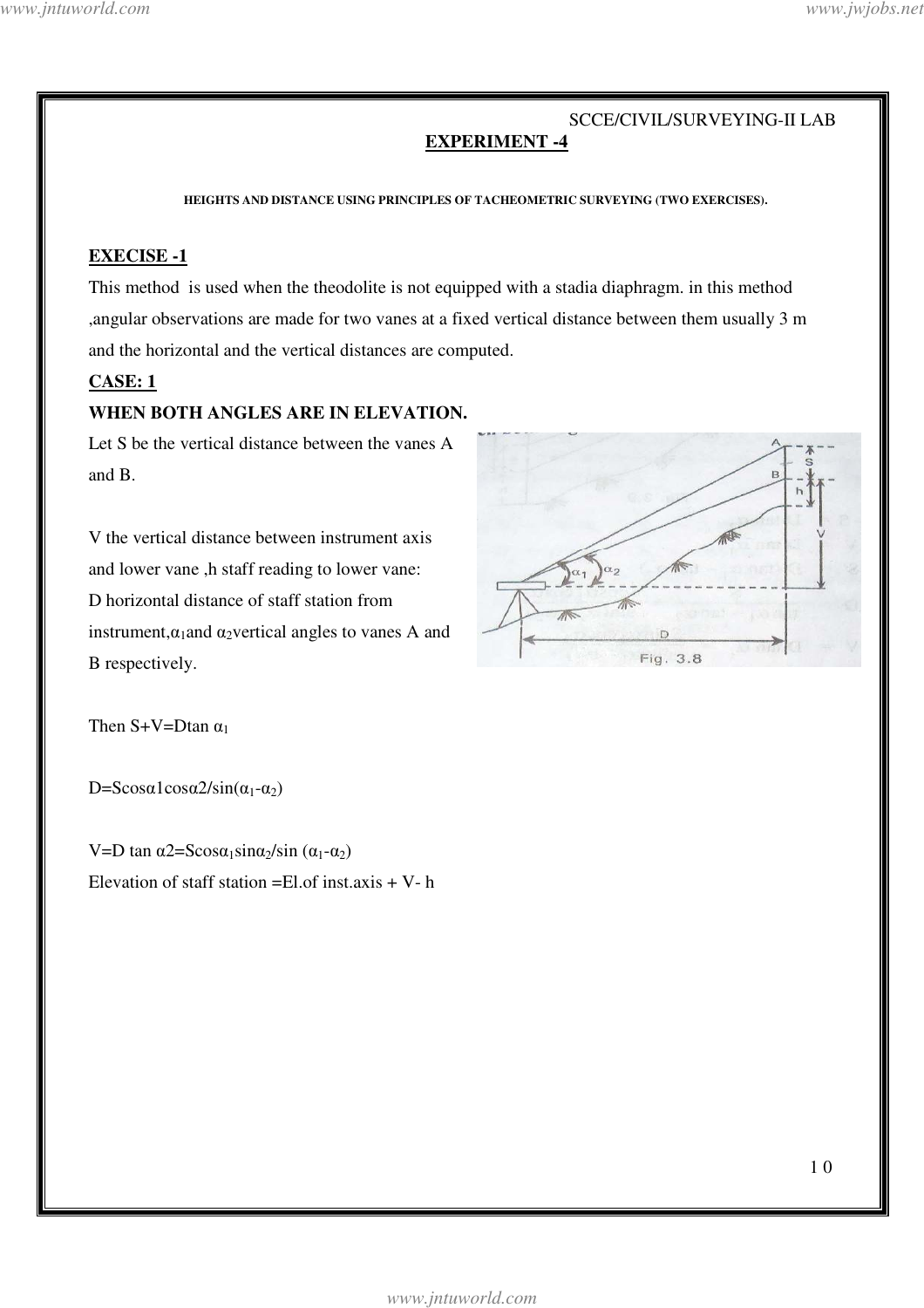#### SCCE/CIVIL/SURVEYING-II LAB **EXPERIMENT -4**

**HEIGHTS AND DISTANCE USING PRINCIPLES OF TACHEOMETRIC SURVEYING (TWO EXERCISES).** 

#### **EXECISE -1**

This method is used when the theodolite is not equipped with a stadia diaphragm. in this method ,angular observations are made for two vanes at a fixed vertical distance between them usually 3 m and the horizontal and the vertical distances are computed.

### **CASE: 1**

#### **WHEN BOTH ANGLES ARE IN ELEVATION.**

Let S be the vertical distance between the vanes A and B.

V the vertical distance between instrument axis and lower vane ,h staff reading to lower vane: D horizontal distance of staff station from instrument, $\alpha_1$ and  $\alpha_2$ vertical angles to vanes A and B respectively.



Then  $S+V=D\tan \alpha_1$ 

 $D=Scos\alpha 1 cos\alpha 2/sin(\alpha_1-\alpha_2)$ 

V=D tan  $\alpha$ 2=Scos $\alpha_1$ sin $\alpha_2$ /sin  $(\alpha_1-\alpha_2)$ Elevation of staff station  $=$ El.of inst.axis  $+$  V- h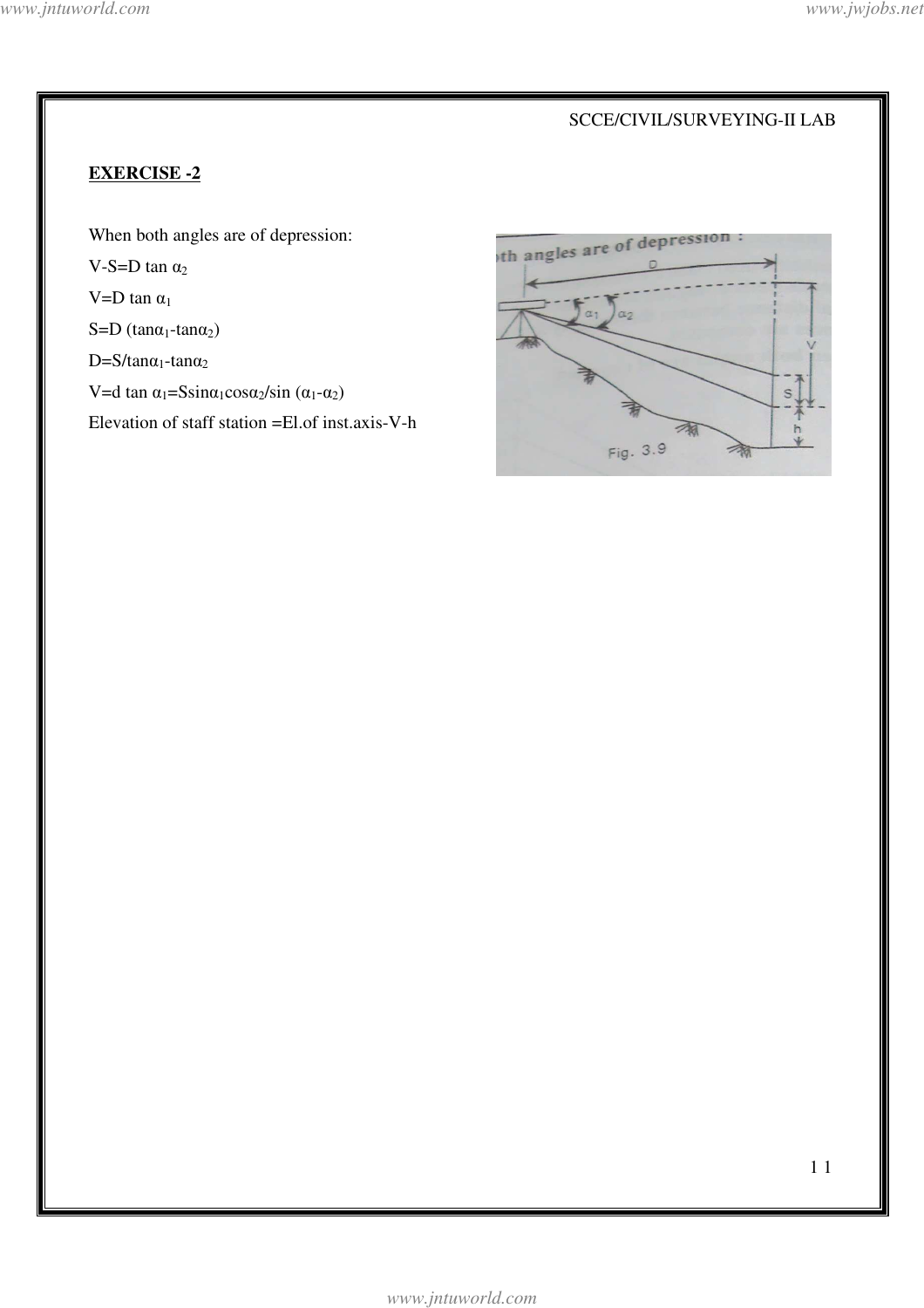## **EXERCISE -2**

When both angles are of depression: V-S=D tan  $\alpha_2$ V=D tan  $\alpha_1$ S=D (tan $\alpha_1$ -tan $\alpha_2$ )  $D=S/tan\alpha_1$ -tan $\alpha_2$ V=d tan  $\alpha_1$ =Ssin $\alpha_1$ cos $\alpha_2$ /sin ( $\alpha_1$ - $\alpha_2$ )

Elevation of staff station =El.of inst.axis-V-h

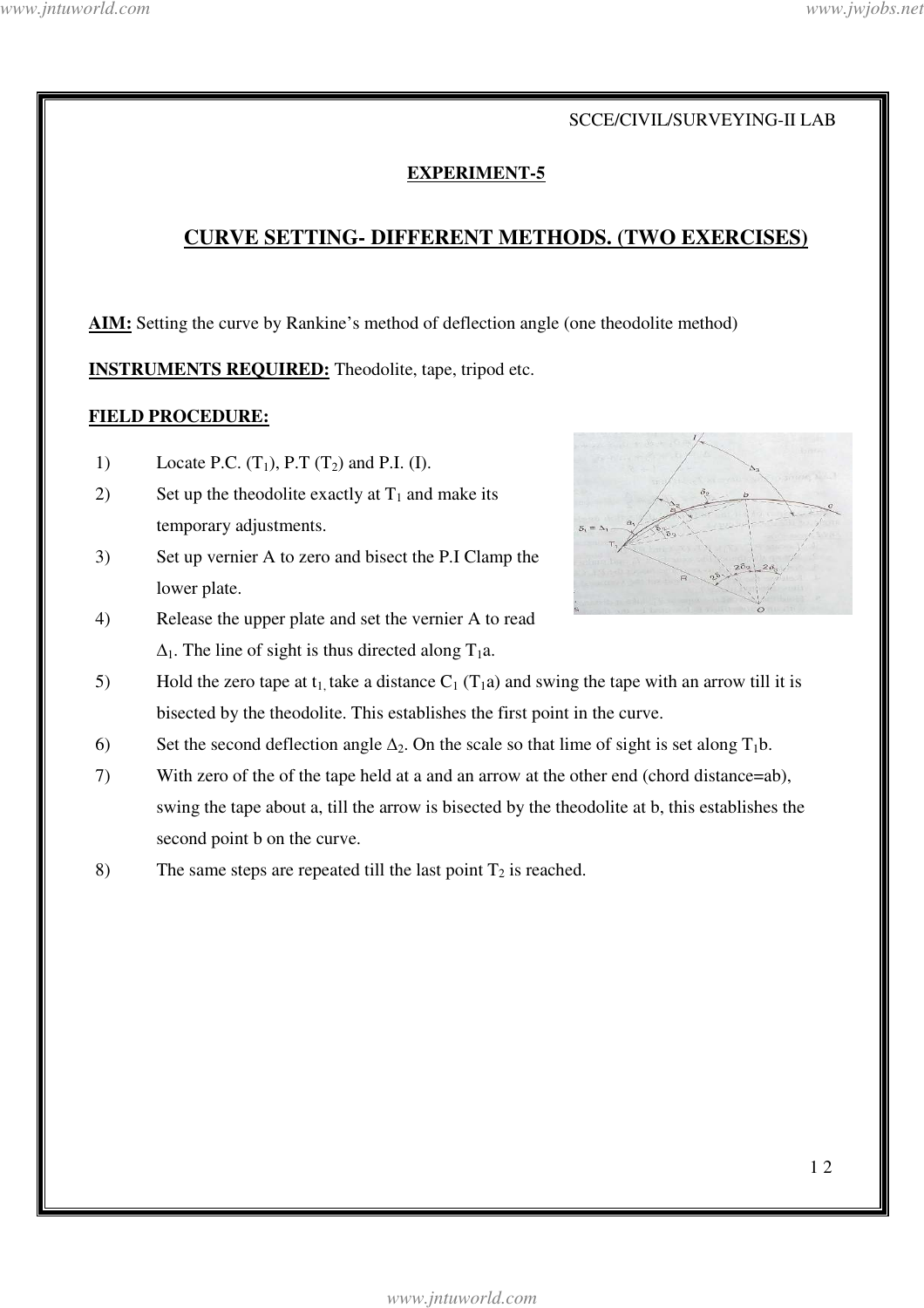### **EXPERIMENT-5**

# **CURVE SETTING- DIFFERENT METHODS. (TWO EXERCISES)**

**AIM:** Setting the curve by Rankine's method of deflection angle (one theodolite method)

**INSTRUMENTS REQUIRED:** Theodolite, tape, tripod etc.

#### **FIELD PROCEDURE:**

- 1) Locate P.C.  $(T_1)$ , P.T  $(T_2)$  and P.I. (I).
- 2) Set up the theodolite exactly at  $T_1$  and make its temporary adjustments.
- 3) Set up vernier A to zero and bisect the P.I Clamp the lower plate.
- 4) Release the upper plate and set the vernier A to read  $\Delta_1$ . The line of sight is thus directed along T<sub>1</sub>a.



- 5) Hold the zero tape at  $t_1$ , take a distance  $C_1$  (T<sub>1</sub>a) and swing the tape with an arrow till it is bisected by the theodolite. This establishes the first point in the curve.
- 6) Set the second deflection angle  $\Delta_2$ . On the scale so that lime of sight is set along T<sub>1</sub>b.
- 7) With zero of the of the tape held at a and an arrow at the other end (chord distance=ab), swing the tape about a, till the arrow is bisected by the theodolite at b, this establishes the second point b on the curve.
- 8) The same steps are repeated till the last point  $T_2$  is reached.